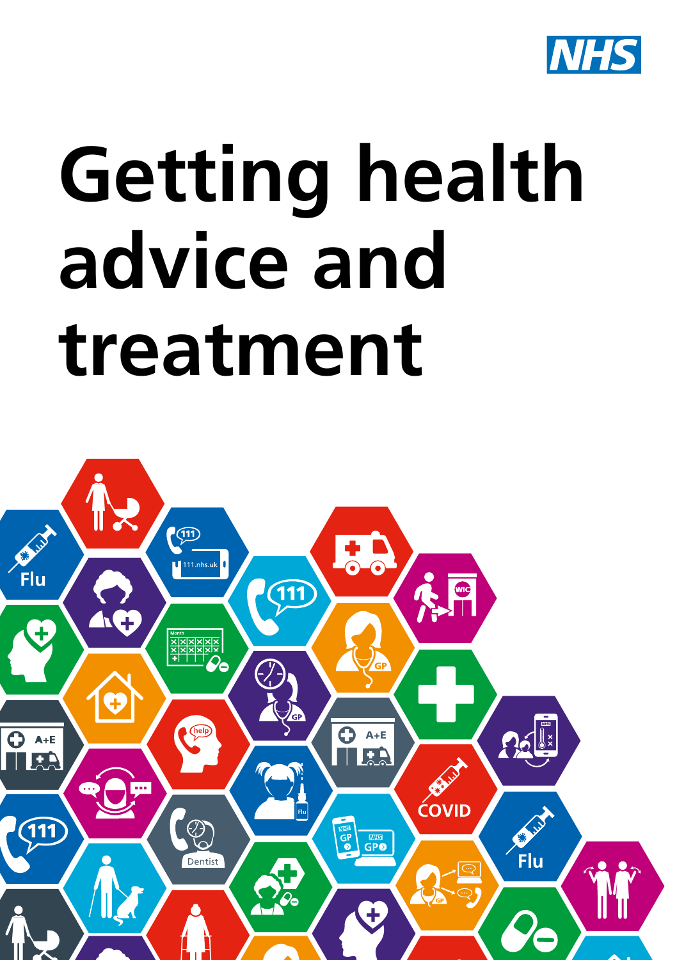

# **Getting health advice and treatment**

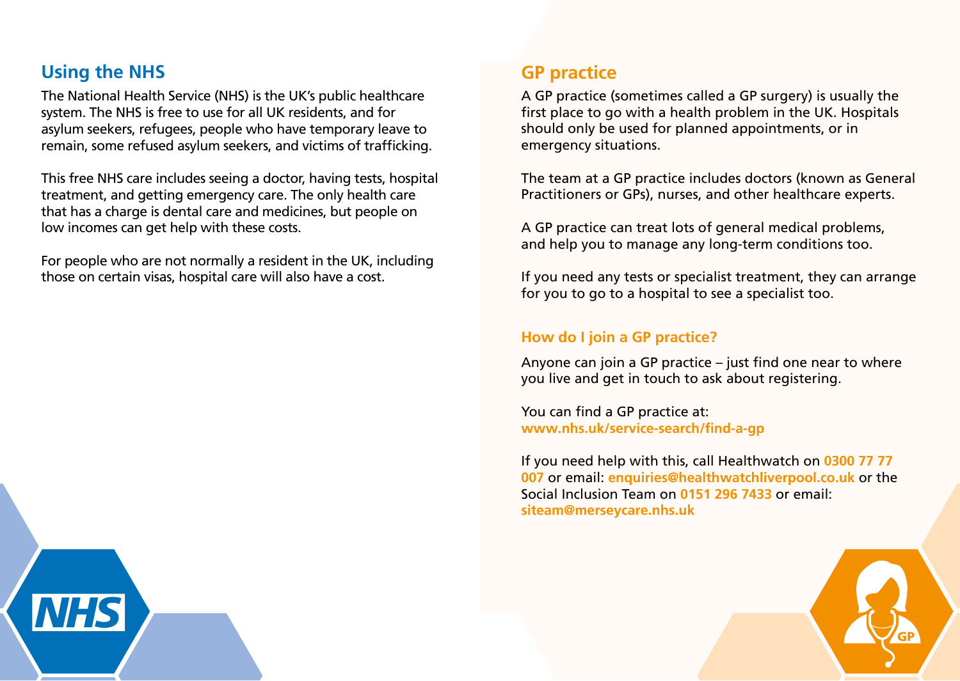# **Using the NHS**

The National Health Service (NHS) is the UK's public healthcare system. The NHS is free to use for all UK residents, and for asylum seekers, refugees, people who have temporary leave to remain, some refused asylum seekers, and victims of trafficking.

This free NHS care includes seeing a doctor, having tests, hospital treatment, and getting emergency care. The only health care that has a charge is dental care and medicines, but people on low incomes can get help with these costs.

For people who are not normally a resident in the UK, including those on certain visas, hospital care will also have a cost.

## **GP practice**

A GP practice (sometimes called a GP surgery) is usually the first place to go with a health problem in the UK. Hospitals should only be used for planned appointments, or in emergency situations.

The team at a GP practice includes doctors (known as General Practitioners or GPs), nurses, and other healthcare experts.

A GP practice can treat lots of general medical problems, and help you to manage any long-term conditions too.

If you need any tests or specialist treatment, they can arrange for you to go to a hospital to see a specialist too.

#### **How do I join a GP practice?**

Anyone can join a GP practice – just find one near to where you live and get in touch to ask about registering.

You can find a GP practice at: **www.nhs.uk/service-search/find-a-gp**

If you need help with this, call Healthwatch on **0300 77 77 007** or email: **enquiries@healthwatchliverpool.co.uk** or the Social Inclusion Team on **0151 296 7433** or email: **siteam@merseycare.nhs.uk**

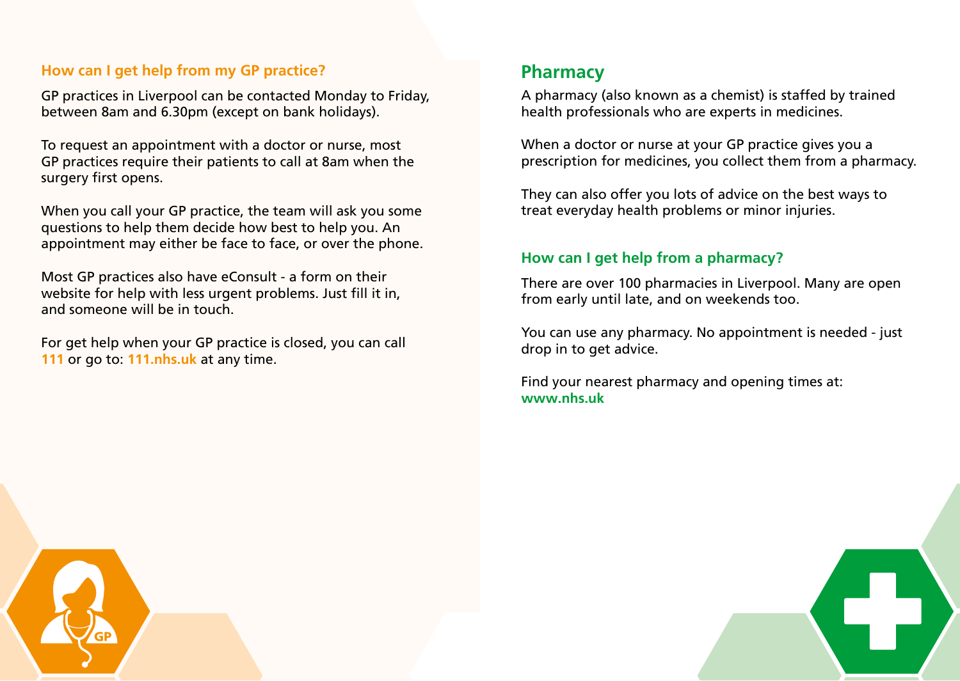## **How can I get help from my GP practice?**

GP practices in Liverpool can be contacted Monday to Friday, between 8am and 6.30pm (except on bank holidays).

To request an appointment with a doctor or nurse, most GP practices require their patients to call at 8am when the surgery first opens.

When you call your GP practice, the team will ask you some questions to help them decide how best to help you. An appointment may either be face to face, or over the phone.

Most GP practices also have eConsult - a form on their website for help with less urgent problems. Just fill it in, and someone will be in touch.

For get help when your GP practice is closed, you can call **111** or go to: **111.nhs.uk** at any time.

## **Pharmacy**

A pharmacy (also known as a chemist) is staffed by trained health professionals who are experts in medicines.

When a doctor or nurse at your GP practice gives you a prescription for medicines, you collect them from a pharmacy.

They can also offer you lots of advice on the best ways to treat everyday health problems or minor injuries.

## **How can I get help from a pharmacy?**

There are over 100 pharmacies in Liverpool. Many are open from early until late, and on weekends too.

You can use any pharmacy. No appointment is needed - just drop in to get advice.

Find your nearest pharmacy and opening times at: **www.nhs.uk**



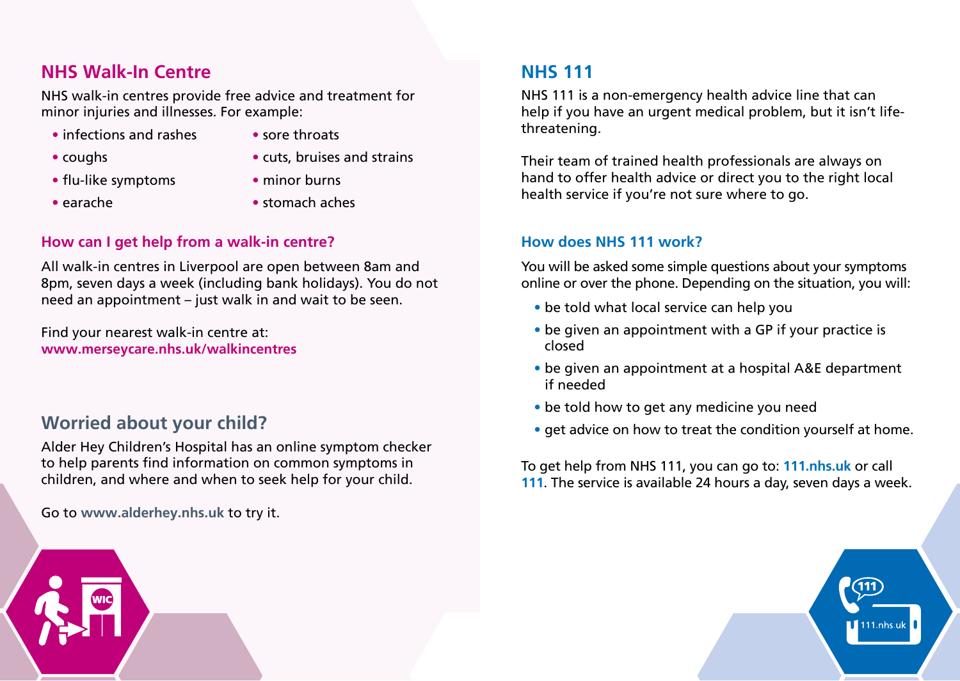# **NHS Walk-In Centre**

NHS walk-in centres provide free advice and treatment for minor injuries and illnesses. For example:

- infections and rashes
- sore throats

• coughs

• cuts, bruises and strains

• flu-like symptoms

• minor burns

• earache

• stomach aches

## **How can I get help from a walk-in centre?**

All walk-in centres in Liverpool are open between 8am and 8pm, seven days a week (including bank holidays). You do not need an appointment – just walk in and wait to be seen.

Find your nearest walk-in centre at: **www.merseycare.nhs.uk/walkincentres**

# **Worried about your child?**

Alder Hey Children's Hospital has an online symptom checker to help parents find information on common symptoms in children, and where and when to seek help for your child.

Go to **www.alderhey.nhs.uk** to try it.

# **NHS 111**

NHS 111 is a non-emergency health advice line that can help if you have an urgent medical problem, but it isn't lifethreatening.

Their team of trained health professionals are always on hand to offer health advice or direct you to the right local health service if you're not sure where to go.

#### **How does NHS 111 work?**

You will be asked some simple questions about your symptoms online or over the phone. Depending on the situation, you will:

- be told what local service can help you
- be given an appointment with a GP if your practice is closed
- be given an appointment at a hospital A&E department if needed
- be told how to get any medicine you need
- get advice on how to treat the condition yourself at home.

To get help from NHS 111, you can go to: **111.nhs.uk** or call **111**. The service is available 24 hours a day, seven days a week.

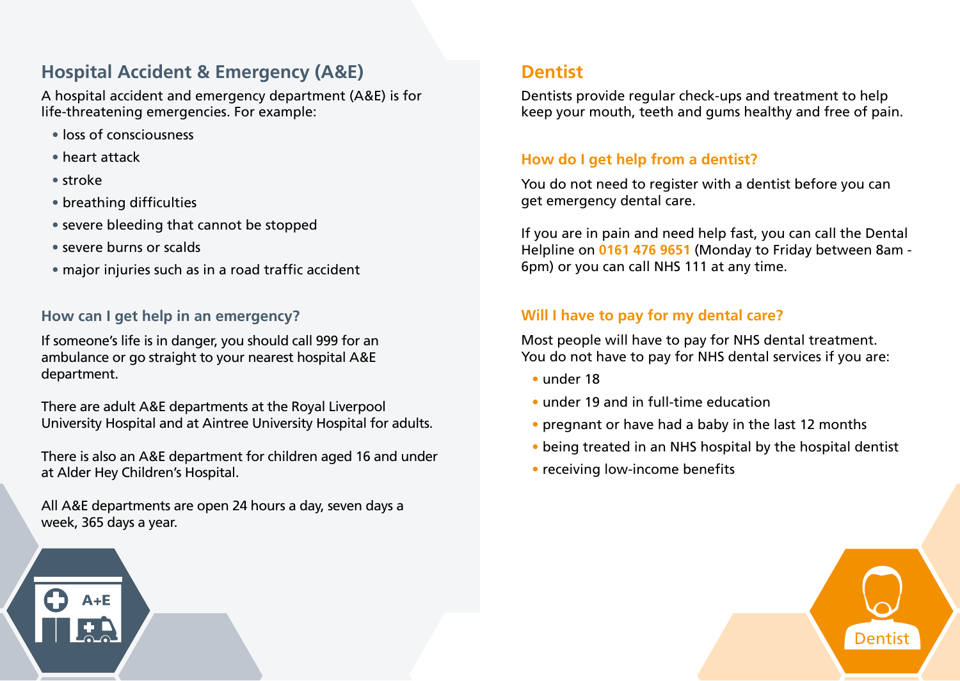# **Hospital Accident & Emergency (A&E)**

A hospital accident and emergency department (A&E) is for life-threatening emergencies. For example:

- loss of consciousness
- heart attack
- stroke
- breathing difficulties
- severe bleeding that cannot be stopped
- severe burns or scalds
- major injuries such as in a road traffic accident

## **How can I get help in an emergency?**

If someone's life is in danger, you should call 999 for an ambulance or go straight to your nearest hospital A&E department.

There are adult A&E departments at the Royal Liverpool University Hospital and at Aintree University Hospital for adults.

There is also an A&E department for children aged 16 and under at Alder Hey Children's Hospital.

All A&E departments are open 24 hours a day, seven days a week, 365 days a year.

# **Dentist**

Dentists provide regular check-ups and treatment to help keep your mouth, teeth and gums healthy and free of pain.

#### **How do I get help from a dentist?**

You do not need to register with a dentist before you can get emergency dental care.

If you are in pain and need help fast, you can call the Dental Helpline on **0161 476 9651** (Monday to Friday between 8am - 6pm) or you can call NHS 111 at any time.

## **Will I have to pay for my dental care?**

Most people will have to pay for NHS dental treatment. You do not have to pay for NHS dental services if you are:

- under 18
- under 19 and in full-time education
- pregnant or have had a baby in the last 12 months
- being treated in an NHS hospital by the hospital dentist
- receiving low-income benefits

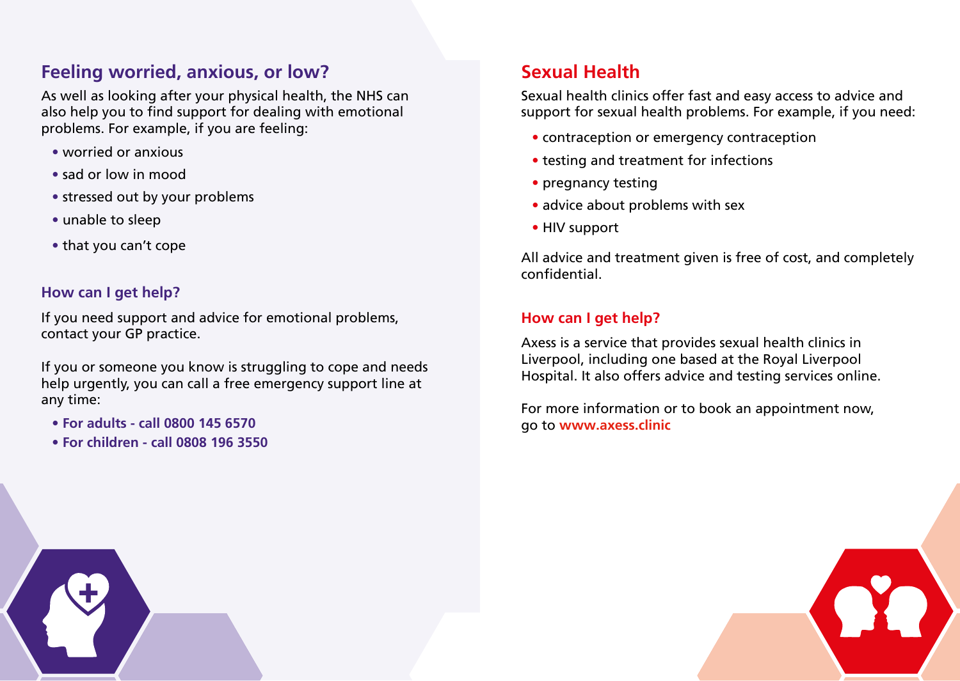# **Feeling worried, anxious, or low?**

As well as looking after your physical health, the NHS can also help you to find support for dealing with emotional problems. For example, if you are feeling:

- worried or anxious
- sad or low in mood
- stressed out by your problems
- unable to sleep
- that you can't cope

## **How can I get help?**

If you need support and advice for emotional problems, contact your GP practice.

If you or someone you know is struggling to cope and needs help urgently, you can call a free emergency support line at any time:

- **For adults call 0800 145 6570**
- **For children call 0808 196 3550**

# **Sexual Health**

Sexual health clinics offer fast and easy access to advice and support for sexual health problems. For example, if you need:

- contraception or emergency contraception
- testing and treatment for infections
- pregnancy testing
- advice about problems with sex
- HIV support

All advice and treatment given is free of cost, and completely confidential.

## **How can I get help?**

Axess is a service that provides sexual health clinics in Liverpool, including one based at the Royal Liverpool Hospital. It also offers advice and testing services online.

For more information or to book an appointment now, go to **www.axess.clinic**